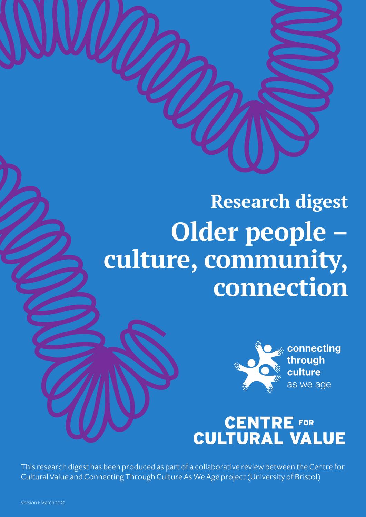## **Research digest Older people – culture, community, connection**



## **CENTRE FOR<br>CULTURAL VALUE**

This research digest has been produced as part of a collaborative review between the Centre for Cultural Value and Connecting Through Culture As We Age project (University of Bristol)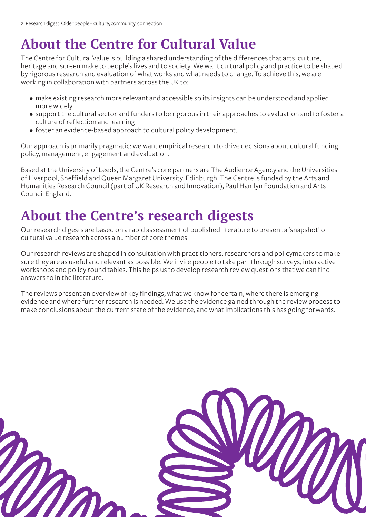## **About the Centre for Cultural Value**

The Centre for Cultural Value is building a shared understanding of the differences that arts, culture, heritage and screen make to people's lives and to society. We want cultural policy and practice to be shaped by rigorous research and evaluation of what works and what needs to change. To achieve this, we are working in collaboration with partners across the UK to:

- make existing research more relevant and accessible so its insights can be understood and applied more widely
- support the cultural sector and funders to be rigorous in their approaches to evaluation and to foster a culture of reflection and learning
- foster an evidence-based approach to cultural policy development.

Our approach is primarily pragmatic: we want empirical research to drive decisions about cultural funding, policy, management, engagement and evaluation.

Based at the University of Leeds, the Centre's core partners are The Audience Agency and the Universities of Liverpool, Sheffield and Queen Margaret University, Edinburgh. The Centre is funded by the Arts and Humanities Research Council (part of UK Research and Innovation), Paul Hamlyn Foundation and Arts Council England.

## **About the Centre's research digests**

Our research digests are based on a rapid assessment of published literature to present a 'snapshot' of cultural value research across a number of core themes.

Our research reviews are shaped in consultation with practitioners, researchers and policymakers to make sure they are as useful and relevant as possible. We invite people to take part through surveys, interactive workshops and policy round tables. This helps us to develop research review questions that we can find answers to in the literature.

The reviews present an overview of key findings, what we know for certain, where there is emerging evidence and where further research is needed. We use the evidence gained through the review process to make conclusions about the current state of the evidence, and what implications this has going forwards.

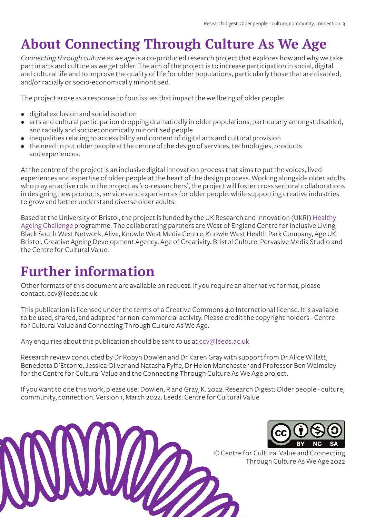## **About Connecting Through Culture As We Age**

*Connecting through culture as we age* is a co-produced research project that explores how and why we take part in arts and culture as we get older. The aim of the project is to increase participation in social, digital and cultural life and to improve the quality of life for older populations, particularly those that are disabled, and/or racially or socio-economically minoritised.

The project arose as a response to four issues that impact the wellbeing of older people:

- digital exclusion and social isolation
- arts and cultural participation dropping dramatically in older populations, particularly amongst disabled, and racially and socioeconomically minoritised people
- inequalities relating to accessibility and content of digital arts and cultural provision
- the need to put older people at the centre of the design of services, technologies, products and experiences.

At the centre of the project is an inclusive digital innovation process that aims to put the voices, lived experiences and expertise of older people at the heart of the design process. Working alongside older adults who play an active role in the project as 'co-researchers', the project will foster cross sectoral collaborations in designing new products, services and experiences for older people, while supporting creative industries to grow and better understand diverse older adults.

Based at the University of Bristol, the project is funded by the UK Research and Innovation (UKRI) [Healthy](https://www.ukri.org/our-work/our-main-funds/industrial-strategy-challenge-fund/ageing-society/healthy-ageing-challenge/)  [Ageing Challenge](https://www.ukri.org/our-work/our-main-funds/industrial-strategy-challenge-fund/ageing-society/healthy-ageing-challenge/) programme. The collaborating partners are West of England Centre for Inclusive Living, Black South West Network, Alive, Knowle West Media Centre, Knowle West Health Park Company, Age UK Bristol, Creative Ageing Development Agency, Age of Creativity, Bristol Culture, Pervasive Media Studio and the Centre for Cultural Value.

## **Further information**

Other formats of this document are available on request. If you require an alternative format, please contact: ccv@leeds.ac.uk

This publication is licensed under the terms of a Creative Commons 4.0 International license. It is available to be used, shared, and adapted for non-commercial activity. Please credit the copyright holders - Centre for Cultural Value and Connecting Through Culture As We Age.

Any enquiries about this publication should be sent to us at [ccv@leeds.ac.uk](mailto:ccv%40leeds.ac.uk?subject=)

Research review conducted by Dr Robyn Dowlen and Dr Karen Gray with support from Dr Alice Willatt, Benedetta D'Ettorre, Jessica Oliver and Natasha Fyffe, Dr Helen Manchester and Professor Ben Walmsley for the Centre for Cultural Value and the Connecting Through Culture As We Age project.

If you want to cite this work, please use: Dowlen, R and Gray, K. 2022. Research Digest: Older people - culture, community, connection. Version 1, March 2022. Leeds: Centre for Cultural Value





© Centre for Cultural Value and Connecting Through Culture As We Age 2022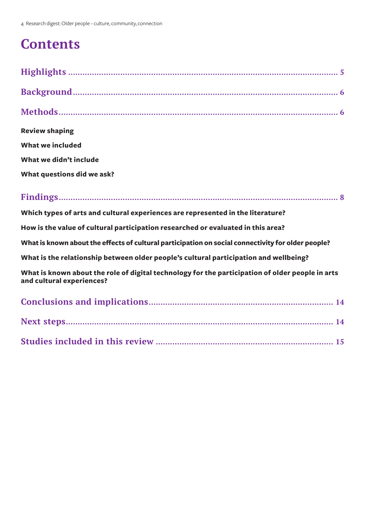## **Contents**

| <b>Review shaping</b>                                                                              |
|----------------------------------------------------------------------------------------------------|
| <b>What we included</b>                                                                            |
| What we didn't include                                                                             |
| What questions did we ask?                                                                         |
|                                                                                                    |
| Which types of arts and cultural experiences are represented in the literature?                    |
| How is the value of cultural participation researched or evaluated in this area?                   |
| What is known about the effects of cultural participation on social connectivity for older people? |
| What is the relationship between older people's cultural participation and wellbeing?              |

**What is known about the role of digital technology for the participation of older people in arts and cultural experiences?**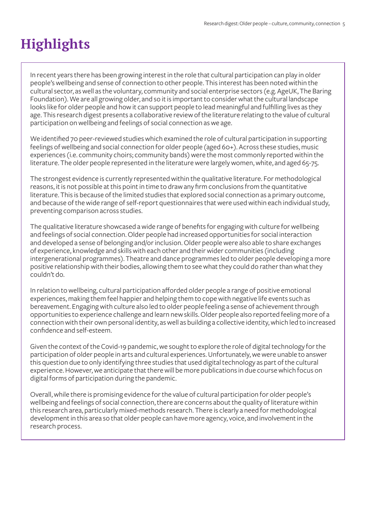## **Highlights**

In recent years there has been growing interest in the role that cultural participation can play in older people's wellbeing and sense of connection to other people. This interest has been noted within the cultural sector, as well as the voluntary, community and social enterprise sectors (e.g. AgeUK, The Baring Foundation). We are all growing older, and so it is important to consider what the cultural landscape looks like for older people and how it can support people to lead meaningful and fulfilling lives as they age. This research digest presents a collaborative review of the literature relating to the value of cultural participation on wellbeing and feelings of social connection as we age.

We identified 70 peer-reviewed studies which examined the role of cultural participation in supporting feelings of wellbeing and social connection for older people (aged 60+). Across these studies, music experiences (i.e. community choirs; community bands) were the most commonly reported within the literature. The older people represented in the literature were largely women, white, and aged 65-75.

The strongest evidence is currently represented within the qualitative literature. For methodological reasons, it is not possible at this point in time to draw any firm conclusions from the quantitative literature. This is because of the limited studies that explored social connection as a primary outcome, and because of the wide range of self-report questionnaires that were used within each individual study, preventing comparison across studies.

The qualitative literature showcased a wide range of benefits for engaging with culture for wellbeing and feelings of social connection. Older people had increased opportunities for social interaction and developed a sense of belonging and/or inclusion. Older people were also able to share exchanges of experience, knowledge and skills with each other and their wider communities (including intergenerational programmes). Theatre and dance programmes led to older people developing a more positive relationship with their bodies, allowing them to see what they could do rather than what they couldn't do.

In relation to wellbeing, cultural participation afforded older people a range of positive emotional experiences, making them feel happier and helping them to cope with negative life events such as bereavement. Engaging with culture also led to older people feeling a sense of achievement through opportunities to experience challenge and learn new skills. Older people also reported feeling more of a connection with their own personal identity, as well as building a collective identity, which led to increased confidence and self-esteem.

Given the context of the Covid-19 pandemic, we sought to explore the role of digital technology for the participation of older people in arts and cultural experiences. Unfortunately, we were unable to answer this question due to only identifying three studies that used digital technology as part of the cultural experience. However, we anticipate that there will be more publications in due course which focus on digital forms of participation during the pandemic.

Overall, while there is promising evidence for the value of cultural participation for older people's wellbeing and feelings of social connection, there are concerns about the quality of literature within this research area, particularly mixed-methods research. There is clearly a need for methodological development in this area so that older people can have more agency, voice, and involvement in the research process.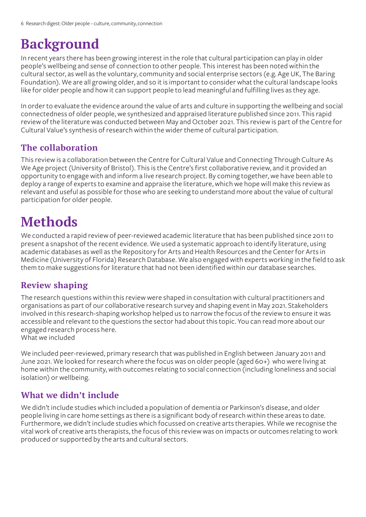## **Background**

In recent years there has been growing interest in the role that cultural participation can play in older people's wellbeing and sense of connection to other people. This interest has been noted within the cultural sector, as well as the voluntary, community and social enterprise sectors (e.g. Age UK, The Baring Foundation). We are all growing older, and so it is important to consider what the cultural landscape looks like for older people and how it can support people to lead meaningful and fulfilling lives as they age.

In order to evaluate the evidence around the value of arts and culture in supporting the wellbeing and social connectedness of older people, we synthesized and appraised literature published since 2011. This rapid review of the literature was conducted between May and October 2021. This review is part of the Centre for Cultural Value's synthesis of research within the wider theme of cultural participation.

#### **The collaboration**

This review is a collaboration between the Centre for Cultural Value and Connecting Through Culture As We Age project (University of Bristol). This is the Centre's first collaborative review, and it provided an opportunity to engage with and inform a live research project. By coming together, we have been able to deploy a range of experts to examine and appraise the literature, which we hope will make this review as relevant and useful as possible for those who are seeking to understand more about the value of cultural participation for older people.

### **Methods**

We conducted a rapid review of peer-reviewed academic literature that has been published since 2011 to present a snapshot of the recent evidence. We used a systematic approach to identify literature, using academic databases as well as the Repository for Arts and Health Resources and the Center for Arts in Medicine (University of Florida) Research Database. We also engaged with experts working in the field to ask them to make suggestions for literature that had not been identified within our database searches.

#### **Review shaping**

The research questions within this review were shaped in consultation with cultural practitioners and organisations as part of our collaborative research survey and shaping event in May 2021. Stakeholders involved in this research-shaping workshop helped us to narrow the focus of the review to ensure it was accessible and relevant to the questions the sector had about this topic. You can read more about our engaged research process here. What we included

We included peer-reviewed, primary research that was published in English between January 2011 and June 2021. We looked for research where the focus was on older people (aged 60+) who were living at home within the community, with outcomes relating to social connection (including loneliness and social isolation) or wellbeing.

#### **What we didn't include**

We didn't include studies which included a population of dementia or Parkinson's disease, and older people living in care home settings as there is a significant body of research within these areas to date. Furthermore, we didn't include studies which focussed on creative arts therapies. While we recognise the vital work of creative arts therapists, the focus of this review was on impacts or outcomes relating to work produced or supported by the arts and cultural sectors.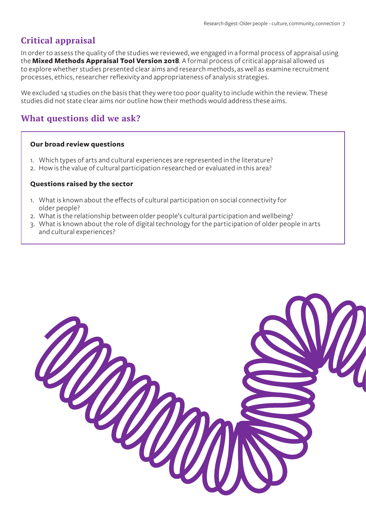#### **Critical appraisal**

In order to assess the quality of the studies we reviewed, we engaged in a formal process of appraisal using the **[Mixed Methods Appraisal Tool Version 2018](http://mixedmethodsappraisaltoolpublic.pbworks.com/w/file/fetch/127916259/MMAT_2018_criteria-manual_2018-08-01_ENG.pdf)**. A formal process of critical appraisal allowed us to explore whether studies presented clear aims and research methods, as well as examine recruitment processes, ethics, researcher reflexivity and appropriateness of analysis strategies.

We excluded 14 studies on the basis that they were too poor quality to include within the review. These studies did not state clear aims nor outline how their methods would address these aims.

#### **What questions did we ask?**

#### **Our broad review questions**

- 1. Which types of arts and cultural experiences are represented in the literature?
- 2. How is the value of cultural participation researched or evaluated in this area?

#### **Questions raised by the sector**

- 1. What is known about the effects of cultural participation on social connectivity for older people?
- 2. What is the relationship between older people's cultural participation and wellbeing?
- 3. What is known about the role of digital technology for the participation of older people in arts and cultural experiences?

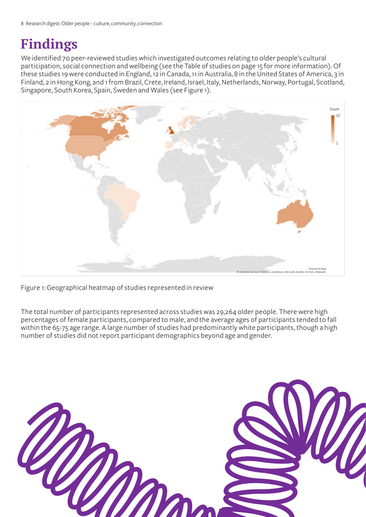## **Findings**

We identified 70 peer-reviewed studies which investigated outcomes relating to older people's cultural participation, social connection and wellbeing (see the Table of studies on page 15 for more information). Of these studies 19 were conducted in England, 12 in Canada, 11 in Australia, 8 in the United States of America, 3 in Finland, 2 in Hong Kong, and 1 from Brazil, Crete, Ireland, Israel, Italy, Netherlands, Norway, Portugal, Scotland, Singapore, South Korea, Spain, Sweden and Wales (see Figure 1).



Figure 1: Geographical heatmap of studies represented in review

The total number of participants represented across studies was 29,264 older people. There were high percentages of female participants, compared to male, and the average ages of participants tended to fall within the 65-75 age range. A large number of studies had predominantly white participants, though a high number of studies did not report participant demographics beyond age and gender.

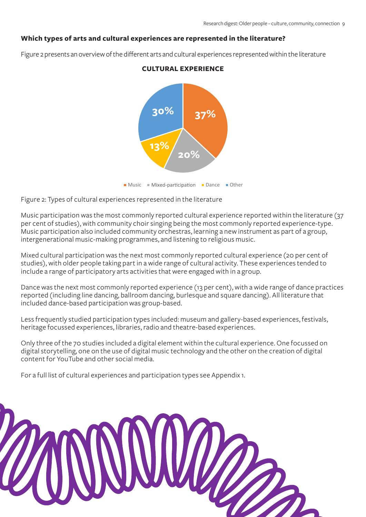#### **Which types of arts and cultural experiences are represented in the literature?**

Figure 2 presents an overview of the different arts and cultural experiences represented within the literature



#### **CULTURAL EXPERIENCE**

Music Mixed-participation Dance Other

Figure 2: Types of cultural experiences represented in the literature

Music participation was the most commonly reported cultural experience reported within the literature (37 per cent of studies), with community choir singing being the most commonly reported experience-type. Music participation also included community orchestras, learning a new instrument as part of a group, intergenerational music-making programmes, and listening to religious music.

Mixed cultural participation was the next most commonly reported cultural experience (20 per cent of studies), with older people taking part in a wide range of cultural activity. These experiences tended to include a range of participatory arts activities that were engaged with in a group.

Dance was the next most commonly reported experience (13 per cent), with a wide range of dance practices reported (including line dancing, ballroom dancing, burlesque and square dancing). All literature that included dance-based participation was group-based.

Less frequently studied participation types included: museum and gallery-based experiences, festivals, heritage focussed experiences, libraries, radio and theatre-based experiences.

Only three of the 70 studies included a digital element within the cultural experience. One focussed on digital storytelling, one on the use of digital music technology and the other on the creation of digital content for YouTube and other social media.

For a full list of cultural experiences and participation types see Appendix 1.

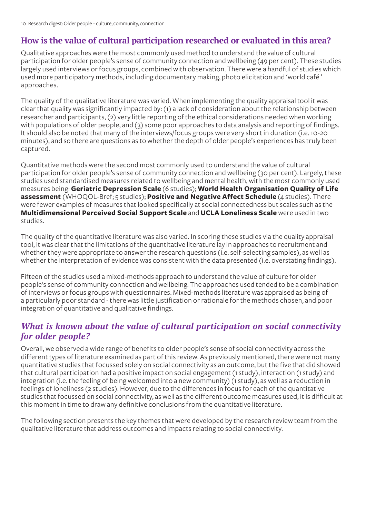#### **How is the value of cultural participation researched or evaluated in this area?**

Qualitative approaches were the most commonly used method to understand the value of cultural participation for older people's sense of community connection and wellbeing (49 per cent). These studies largely used interviews or focus groups, combined with observation. There were a handful of studies which used more participatory methods, including documentary making, photo elicitation and 'world café ' approaches.

The quality of the qualitative literature was varied. When implementing the quality appraisal tool it was clear that quality was significantly impacted by: (1) a lack of consideration about the relationship between researcher and participants, (2) very little reporting of the ethical considerations needed when working with populations of older people, and (3) some poor approaches to data analysis and reporting of findings. It should also be noted that many of the interviews/focus groups were very short in duration (i.e. 10-20 minutes), and so there are questions as to whether the depth of older people's experiences has truly been captured.

Quantitative methods were the second most commonly used to understand the value of cultural participation for older people's sense of community connection and wellbeing (30 per cent). Largely, these studies used standardised measures related to wellbeing and mental health, with the most commonly used measures being: **[Geriatric Depression Scale](https://www.stchristophers.org.uk/wp-content/uploads/2015/11/steps_stepfive_geriatric_depression_scale_0915.pdf)** (6 studies); **[World Health Organisation Quality of Life](https://www.who.int/mental_health/media/en/76.pdf)  [assessment](https://www.who.int/mental_health/media/en/76.pdf)** (WHOQOL-Bref; 5 studies); **[Positive and Negative Affect Schedule](https://ogg.osu.edu/media/documents/MB%20Stream/PANAS.pdf)** (4 studies). There were fewer examples of measures that looked specifically at social connectedness but scales such as the **[Multidimensional Perceived Social Support Scale](https://www.tnaap.org/documents/mspss-multidimensional-scale-of-perceived-social.pdf)** and **[UCLA Loneliness Scale](https://fetzer.org/sites/default/files/images/stories/pdf/selfmeasures/Self_Measures_for_Loneliness_and_Interpersonal_Problems_UCLA_LONELINESS.pdf)** were used in two studies.

The quality of the quantitative literature was also varied. In scoring these studies via the quality appraisal tool, it was clear that the limitations of the quantitative literature lay in approaches to recruitment and whether they were appropriate to answer the research questions (i.e. self-selecting samples), as well as whether the interpretation of evidence was consistent with the data presented (i.e. overstating findings).

Fifteen of the studies used a mixed-methods approach to understand the value of culture for older people's sense of community connection and wellbeing. The approaches used tended to be a combination of interviews or focus groups with questionnaires. Mixed-methods literature was appraised as being of a particularly poor standard - there was little justification or rationale for the methods chosen, and poor integration of quantitative and qualitative findings.

#### *What is known about the value of cultural participation on social connectivity for older people?*

Overall, we observed a wide range of benefits to older people's sense of social connectivity across the different types of literature examined as part of this review. As previously mentioned, there were not many quantitative studies that focussed solely on social connectivity as an outcome, but the five that did showed that cultural participation had a positive impact on social engagement (1 study), interaction (1 study) and integration (i.e. the feeling of being welcomed into a new community) (1 study), as well as a reduction in feelings of loneliness (2 studies). However, due to the differences in focus for each of the quantitative studies that focussed on social connectivity, as well as the different outcome measures used, it is difficult at this moment in time to draw any definitive conclusions from the quantitative literature.

The following section presents the key themes that were developed by the research review team from the qualitative literature that address outcomes and impacts relating to social connectivity.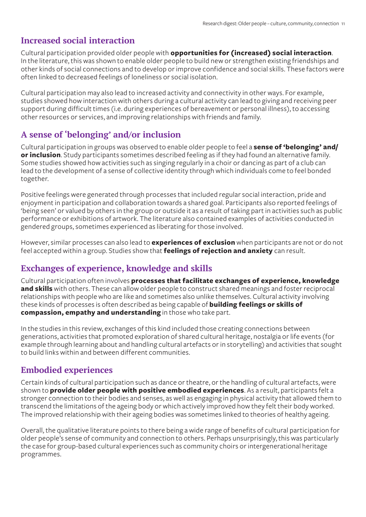#### **Increased social interaction**

Cultural participation provided older people with **opportunities for (increased) social interaction**. In the literature, this was shown to enable older people to build new or strengthen existing friendships and other kinds of social connections and to develop or improve confidence and social skills. These factors were often linked to decreased feelings of loneliness or social isolation.

Cultural participation may also lead to increased activity and connectivity in other ways. For example, studies showed how interaction with others during a cultural activity can lead to giving and receiving peer support during difficult times (i.e. during experiences of bereavement or personal illness), to accessing other resources or services, and improving relationships with friends and family.

#### **A sense of 'belonging' and/or inclusion**

Cultural participation in groups was observed to enable older people to feel a **sense of 'belonging' and/ or inclusion**. Study participants sometimes described feeling as if they had found an alternative family. Some studies showed how activities such as singing regularly in a choir or dancing as part of a club can lead to the development of a sense of collective identity through which individuals come to feel bonded together.

Positive feelings were generated through processes that included regular social interaction, pride and enjoyment in participation and collaboration towards a shared goal. Participants also reported feelings of 'being seen' or valued by others in the group or outside it as a result of taking part in activities such as public performance or exhibitions of artwork. The literature also contained examples of activities conducted in gendered groups, sometimes experienced as liberating for those involved.

However, similar processes can also lead to **experiences of exclusion** when participants are not or do not feel accepted within a group. Studies show that **feelings of rejection and anxiety** can result.

#### **Exchanges of experience, knowledge and skills**

Cultural participation often involves **processes that facilitate exchanges of experience, knowledge and skills** with others. These can allow older people to construct shared meanings and foster reciprocal relationships with people who are like and sometimes also unlike themselves. Cultural activity involving these kinds of processes is often described as being capable of **building feelings or skills of compassion, empathy and understanding** in those who take part.

In the studies in this review, exchanges of this kind included those creating connections between generations, activities that promoted exploration of shared cultural heritage, nostalgia or life events (for example through learning about and handling cultural artefacts or in storytelling) and activities that sought to build links within and between different communities.

#### **Embodied experiences**

Certain kinds of cultural participation such as dance or theatre, or the handling of cultural artefacts, were shown to **provide older people with positive embodied experiences**. As a result, participants felt a stronger connection to their bodies and senses, as well as engaging in physical activity that allowed them to transcend the limitations of the ageing body or which actively improved how they felt their body worked. The improved relationship with their ageing bodies was sometimes linked to theories of healthy ageing.

Overall, the qualitative literature points to there being a wide range of benefits of cultural participation for older people's sense of community and connection to others. Perhaps unsurprisingly, this was particularly the case for group-based cultural experiences such as community choirs or intergenerational heritage programmes.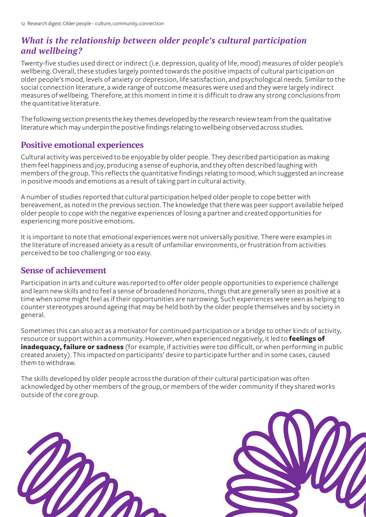#### *What is the relationship between older people's cultural participation and wellbeing?*

Twenty-five studies used direct or indirect (i.e. depression, quality of life, mood) measures of older people's wellbeing. Overall, these studies largely pointed towards the positive impacts of cultural participation on older people's mood, levels of anxiety or depression, life satisfaction, and psychological needs. Similar to the social connection literature, a wide range of outcome measures were used and they were largely indirect measures of wellbeing. Therefore, at this moment in time it is difficult to draw any strong conclusions from the quantitative literature.

The following section presents the key themes developed by the research review team from the qualitative literature which may underpin the positive findings relating to wellbeing observed across studies.

#### **Positive emotional experiences**

Cultural activity was perceived to be enjoyable by older people. They described participation as making them feel happiness and joy, producing a sense of euphoria, and they often described laughing with members of the group. This reflects the quantitative findings relating to mood, which suggested an increase in positive moods and emotions as a result of taking part in cultural activity.

A number of studies reported that cultural participation helped older people to cope better with bereavement, as noted in the previous section. The knowledge that there was peer support available helped older people to cope with the negative experiences of losing a partner and created opportunities for experiencing more positive emotions.

It is important to note that emotional experiences were not universally positive. There were examples in the literature of increased anxiety as a result of unfamiliar environments, or frustration from activities perceived to be too challenging or too easy.

#### **Sense of achievement**

Participation in arts and culture was reported to offer older people opportunities to experience challenge and learn new skills and to feel a sense of broadened horizons, things that are generally seen as positive at a time when some might feel as if their opportunities are narrowing. Such experiences were seen as helping to counter stereotypes around ageing that may be held both by the older people themselves and by society in general.

Sometimes this can also act as a motivator for continued participation or a bridge to other kinds of activity, resource or support within a community. However, when experienced negatively, it led to **feelings of inadequacy, failure or sadness** (for example, if activities were too difficult, or when performing in public created anxiety). This impacted on participants' desire to participate further and in some cases, caused them to withdraw.

The skills developed by older people across the duration of their cultural participation was often acknowledged by other members of the group, or members of the wider community if they shared works outside of the core group.



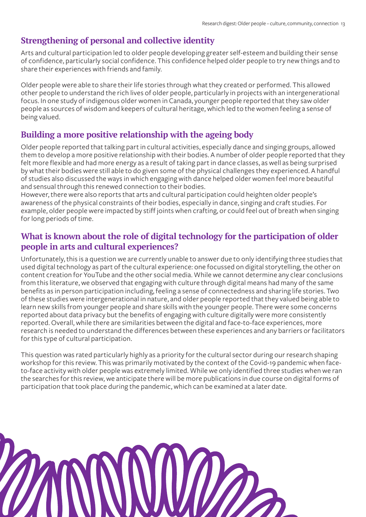#### **Strengthening of personal and collective identity**

Arts and cultural participation led to older people developing greater self-esteem and building their sense of confidence, particularly social confidence. This confidence helped older people to try new things and to share their experiences with friends and family.

Older people were able to share their life stories through what they created or performed. This allowed other people to understand the rich lives of older people, particularly in projects with an intergenerational focus. In one study of indigenous older women in Canada, younger people reported that they saw older people as sources of wisdom and keepers of cultural heritage, which led to the women feeling a sense of being valued.

#### **Building a more positive relationship with the ageing body**

Older people reported that talking part in cultural activities, especially dance and singing groups, allowed them to develop a more positive relationship with their bodies. A number of older people reported that they felt more flexible and had more energy as a result of taking part in dance classes, as well as being surprised by what their bodies were still able to do given some of the physical challenges they experienced. A handful of studies also discussed the ways in which engaging with dance helped older women feel more beautiful and sensual through this renewed connection to their bodies.

However, there were also reports that arts and cultural participation could heighten older people's awareness of the physical constraints of their bodies, especially in dance, singing and craft studies. For example, older people were impacted by stiff joints when crafting, or could feel out of breath when singing for long periods of time.

#### **What is known about the role of digital technology for the participation of older people in arts and cultural experiences?**

Unfortunately, this is a question we are currently unable to answer due to only identifying three studies that used digital technology as part of the cultural experience: one focussed on digital storytelling, the other on content creation for YouTube and the other social media. While we cannot determine any clear conclusions from this literature, we observed that engaging with culture through digital means had many of the same benefits as in person participation including, feeling a sense of connectedness and sharing life stories. Two of these studies were intergenerational in nature, and older people reported that they valued being able to learn new skills from younger people and share skills with the younger people. There were some concerns reported about data privacy but the benefits of engaging with culture digitally were more consistently reported. Overall, while there are similarities between the digital and face-to-face experiences, more research is needed to understand the differences between these experiences and any barriers or facilitators for this type of cultural participation.

This question was rated particularly highly as a priority for the cultural sector during our research shaping workshop for this review. This was primarily motivated by the context of the Covid-19 pandemic when faceto-face activity with older people was extremely limited. While we only identified three studies when we ran the searches for this review, we anticipate there will be more publications in due course on digital forms of participation that took place during the pandemic, which can be examined at a later date.

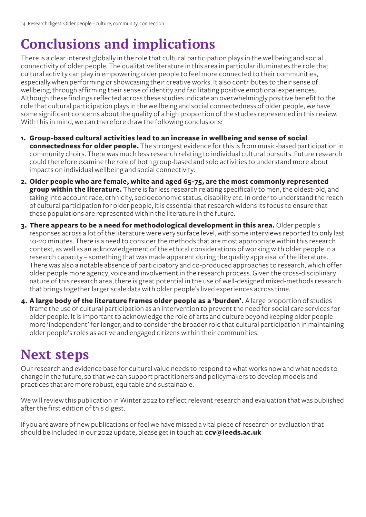## **Conclusions and implications**

There is a clear interest globally in the role that cultural participation plays in the wellbeing and social connectivity of older people. The qualitative literature in this area in particular illuminates the role that cultural activity can play in empowering older people to feel more connected to their communities, especially when performing or showcasing their creative works. It also contributes to their sense of wellbeing, through affirming their sense of identity and facilitating positive emotional experiences. Although these findings reflected across these studies indicate an overwhelmingly positive benefit to the role that cultural participation plays in the wellbeing and social connectedness of older people, we have some significant concerns about the quality of a high proportion of the studies represented in this review. With this in mind, we can therefore draw the following conclusions:

- **1. Group-based cultural activities lead to an increase in wellbeing and sense of social connectedness for older people.** The strongest evidence for this is from music-based participation in community choirs. There was much less research relating to individual cultural pursuits. Future research could therefore examine the role of both group-based and solo activities to understand more about impacts on individual wellbeing and social connectivity.
- **2. Older people who are female, white and aged 65-75, are the most commonly represented group within the literature.** There is far less research relating specifically to men, the oldest-old, and taking into account race, ethnicity, socioeconomic status, disability etc. In order to understand the reach of cultural participation for older people, it is essential that research widens its focus to ensure that these populations are represented within the literature in the future.
- **3. There appears to be a need for methodological development in this area.** Older people's responses across a lot of the literature were very surface level, with some interviews reported to only last 10-20 minutes. There is a need to consider the methods that are most appropriate within this research context, as well as an acknowledgement of the ethical considerations of working with older people in a research capacity – something that was made apparent during the quality appraisal of the literature. There was also a notable absence of participatory and co-produced approaches to research, which offer older people more agency, voice and involvement in the research process. Given the cross-disciplinary nature of this research area, there is great potential in the use of well-designed mixed-methods research that brings together larger scale data with older people's lived experiences across time.
- **4. A large body of the literature frames older people as a 'burden'.** A large proportion of studies frame the use of cultural participation as an intervention to prevent the need for social care services for older people. It is important to acknowledge the role of arts and culture beyond keeping older people more 'independent' for longer, and to consider the broader role that cultural participation in maintaining older people's roles as active and engaged citizens within their communities.

## **Next steps**

Our research and evidence base for cultural value needs to respond to what works now and what needs to change in the future, so that we can support practitioners and policymakers to develop models and practices that are more robust, equitable and sustainable.

We will review this publication in Winter 2022 to reflect relevant research and evaluation that was published after the first edition of this digest.

If you are aware of new publications or feel we have missed a vital piece of research or evaluation that should be included in our 2022 update, please get in touch at: **[ccv@leeds.ac.uk](mailto:ccv%40leeds.ac.uk?subject=)**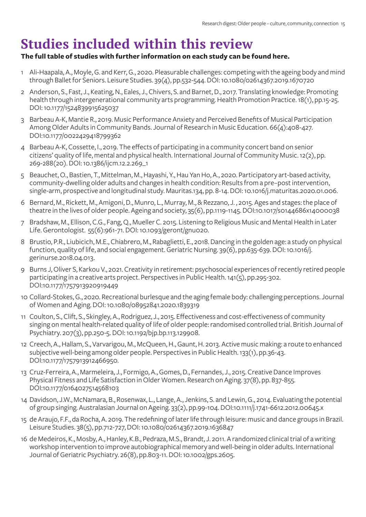## **Studies included within this review**

#### **[The full table of studies with further information on each study can be found here.](https://docs.google.com/spreadsheets/d/1EN8gkj4eX09ZMg7dD8srM-EZKmqN-BJc/edit?usp=sharing&ouid=112382617081442154539&rtpof=true&sd=true)**

- 1 Ali-Haapala, A., Moyle, G. and Kerr, G., 2020. Pleasurable challenges: competing with the ageing body and mind through Ballet for Seniors. Leisure Studies. 39(4), pp.532-544. DOI: 10.1080/02614367.2019.1670720
- 2 Anderson, S., Fast, J., Keating, N., Eales, J., Chivers, S. and Barnet, D., 2017. Translating knowledge: Promoting health through intergenerational community arts programming. Health Promotion Practice. 18(1), pp.15-25. DOI: 10.1177/1524839915625037
- 3 Barbeau A-K, Mantie R., 2019. Music Performance Anxiety and Perceived Benefits of Musical Participation Among Older Adults in Community Bands. Journal of Research in Music Education. 66(4):408-427. DOI:10.1177/0022429418799362
- 4 Barbeau A-K, Cossette, I., 2019. The effects of participating in a community concert band on senior citizens' quality of life, mental and physical health. International Journal of Community Music. 12(2), pp. 269-288(20). DOI: 10.1386/ijcm.12.2.269\_1
- 5 Beauchet, O., Bastien, T., Mittelman, M., Hayashi, Y., Hau Yan Ho, A., 2020. Participatory art-based activity, community-dwelling older adults and changes in health condition: Results from a pre–post intervention, single-arm, prospective and longitudinal study. Mauritas.134, pp. 8-14. DOI: 10.1016/j.maturitas.2020.01.006.
- 6 Bernard, M., Rickett, M., Amigoni, D., Munro, L., Murray, M., & Rezzano, J. , 2015. Ages and stages: the place of theatre in the lives of older people. Ageing and society, 35(6), pp.1119-1145. DOI:10.1017/s0144686x14000038
- 7 Bradshaw, M., Ellison, C.G., Fang, Q., Mueller C. 2015. Listening to Religious Music and Mental Health in Later Life. Gerontologist. 55(6):961-71. DOI: 10.1093/geront/gnu020.
- 8 Brustio, P.R., Liubicich, M.E., Chiabrero, M., Rabaglietti, E., 2018. Dancing in the golden age: a study on physical function, quality of life, and social engagement. Geriatric Nursing. 39(6), pp.635-639. DOI: 10.1016/j. gerinurse.2018.04.013.
- 9 Burns J, Oliver S, Karkou V., 2021. Creativity in retirement: psychosocial experiences of recently retired people participating in a creative arts project. Perspectives in Public Health. 141(5), pp.295-302. DOI:10.1177/1757913920919449
- 10 Collard-Stokes, G., 2020. Recreational burlesque and the aging female body: challenging perceptions. Journal of Women and Aging. DOI: 10.1080/08952841.2020.1839319
- 11 Coulton, S., Clift, S., Skingley, A., Rodriguez, J., 2015. Effectiveness and cost-effectiveness of community singing on mental health-related quality of life of older people: randomised controlled trial. British Journal of Psychiatry. 207(3), pp.250-5. DOI: 10.1192/bjp.bp.113.129908.
- 12 Creech, A., Hallam, S., Varvarigou, M., McQueen, H., Gaunt, H. 2013. Active music making: a route to enhanced subjective well-being among older people. Perspectives in Public Health. 133(1), pp.36-43. DOI:10.1177/1757913912466950.
- 13 Cruz-Ferreira, A., Marmeleira, J., Formigo, A., Gomes, D., Fernandes, J., 2015. Creative Dance Improves Physical Fitness and Life Satisfaction in Older Women. Research on Aging. 37(8), pp. 837-855. DOI:10.1177/0164027514568103
- 14 Davidson, J.W., McNamara, B., Rosenwax, L., Lange, A., Jenkins, S. and Lewin, G., 2014. Evaluating the potential of group singing. Australasian Journal on Ageing. 33(2), pp.99-104. DOI:10.1111/j.1741-6612.2012.00645.x
- 15 de Araujo, F.F., da Rocha, A. 2019. The redefining of later life through leisure: music and dance groups in Brazil. Leisure Studies. 38(5), pp.712-727, DOI: 10.1080/02614367.2019.1636847
- 16 de Medeiros, K., Mosby, A., Hanley, K.B., Pedraza, M.S., Brandt, J. 2011. A randomized clinical trial of a writing workshop intervention to improve autobiographical memory and well-being in older adults. International Journal of Geriatric Psychiatry. 26(8), pp.803-11. DOI: 10.1002/gps.2605.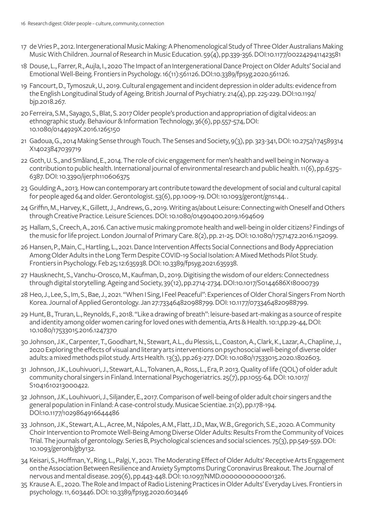- 17 de Vries P., 2012. Intergenerational Music Making: A Phenomenological Study of Three Older Australians Making Music With Children. Journal of Research in Music Education. 59(4), pp.339-356. DOI:10.1177/0022429411423581
- 18 Douse, L., Farrer, R., Aujla, I., 2020 The Impact of an Intergenerational Dance Project on Older Adults' Social and Emotional Well-Being. Frontiers in Psychology. 16(11):561126. DOI:10.3389/fpsyg.2020.561126.
- 19 Fancourt, D., Tymoszuk, U., 2019. Cultural engagement and incident depression in older adults: evidence from the English Longitudinal Study of Ageing. British Journal of Psychiatry. 214(4), pp. 225-229. DOI:10.1192/ bjp.2018.267.
- 20 Ferreira, S.M., Sayago, S., Blat, S. 2017 Older people's production and appropriation of digital videos: an ethnographic study. Behaviour & Information Technology, 36(6), pp.557-574, DOI: 10.1080/0144929X.2016.1265150
- 21 Gadoua, G., 2014 Making Sense through Touch. The Senses and Society, 9(3), pp. 323-341, DOI: 10.2752/174589314 X14023847039719
- 22 Goth, U. S., and Småland, E., 2014. The role of civic engagement for men's health and well being in Norway-a contribution to public health. International journal of environmental research and public health. 11(6), pp.6375– 6387. DOI: 10.3390/ijerph110606375
- 23 Goulding A., 2013. How can contemporary art contribute toward the development of social and cultural capital for people aged 64 and older. Gerontologist. 53(6), pp.1009-19. DOI: 10.1093/geront/gns144. .
- 24 Griffin, M., Harvey, K., Gillett, J., Andrews, G., 2019. Writing as/about Leisure: Connecting with Oneself and Others through Creative Practice. Leisure Sciences. DOI: 10.1080/01490400.2019.1694609
- 25 Hallam, S., Creech, A., 2016. Can active music making promote health and well-being in older citizens? Findings of the music for life project. London Journal of Primary Care. 8(2), pp. 21-25. DOI: 10.1080/17571472.2016.1152099.
- 26 Hansen, P., Main, C., Hartling, L., 2021. Dance Intervention Affects Social Connections and Body Appreciation Among Older Adults in the Long Term Despite COVID-19 Social Isolation: A Mixed Methods Pilot Study. Frontiers in Psychology. Feb 25; 12:635938. DOI: 10.3389/fpsyg.2021.635938.
- 27 Hausknecht, S., Vanchu-Orosco, M., Kaufman, D., 2019. Digitising the wisdom of our elders: Connectedness through digital storytelling. Ageing and Society, 39(12), pp.2714-2734. DOI:10.1017/S0144686X18000739
- 28 Heo, J., Lee, S., Im, S., Bae, J., 2021. "When I Sing, I Feel Peaceful": Experiences of Older Choral Singers From North Korea. Journal of Applied Gerontology. Jan 27:733464820988799. DOI: 10.1177/0733464820988799.
- 29 Hunt, B., Truran, L., Reynolds, F., 2018. "Like a drawing of breath": leisure-based art-making as a source of respite and identity among older women caring for loved ones with dementia, Arts & Health. 10:1,pp.29-44, DOI: 10.1080/17533015.2016.1247370
- 30 Johnson, J.K., Carpenter, T., Goodhart, N., Stewart, A.L., du Plessis, L., Coaston, A., Clark, K., Lazar, A., Chapline, J., 2020 Exploring the effects of visual and literary arts interventions on psychosocial well-being of diverse older adults: a mixed methods pilot study. Arts Health. 13(3), pp.263-277. DOI: 10.1080/17533015.2020.1802603.
- 31 Johnson, J.K., Louhivuori, J., Stewart, A.L., Tolvanen, A., Ross, L., Era, P. 2013. Quality of life (QOL) of older adult community choral singers in Finland. International Psychogeriatrics. 25(7), pp.1055-64. DOI: 10.1017/ S1041610213000422.
- 32 Johnson, J.K., Louhivuori, J., Siljander, E., 2017. Comparison of well-being of older adult choir singers and the general population in Finland: A case-control study. Musicae Scientiae. 21(2), pp.178-194. DOI:10.1177/1029864916644486
- 33 Johnson, J.K., Stewart, A.L., Acree, M., Nápoles, A.M., Flatt, J.D., Max, W.B., Gregorich, S.E., 2020. A Community Choir Intervention to Promote Well-Being Among Diverse Older Adults: Results From the Community of Voices Trial. The journals of gerontology. Series B, Psychological sciences and social sciences. 75(3), pp.549-559. DOI: 10.1093/geronb/gby132.
- 34 Keisari, S., Hoffman, Y., Ring, L., Palgi, Y., 2021. The Moderating Effect of Older Adults' Receptive Arts Engagement on the Association Between Resilience and Anxiety Symptoms During Coronavirus Breakout. The Journal of nervous and mental disease. 209(6), pp.443-448. DOI: 10.1097/NMD.0000000000001326.
- 35 Krause A. E., 2020. The Role and Impact of Radio Listening Practices in Older Adults' Everyday Lives. Frontiers in psychology. 11, 603446. DOI: 10.3389/fpsyg.2020.603446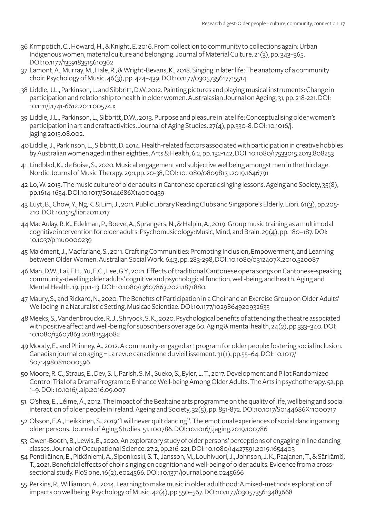- 36 Krmpotich, C., Howard, H., & Knight, E. 2016. From collection to community to collections again: Urban Indigenous women, material culture and belonging. Journal of Material Culture. 21(3), pp. 343–365. DOI:10.1177/1359183515610362
- 37 Lamont, A., Murray, M., Hale, R., & Wright-Bevans, K., 2018. Singing in later life: The anatomy of a community choir. Psychology of Music. 46(3), pp. 424–439. DOI:10.1177/0305735617715514.
- 38 Liddle, J.L., Parkinson, L. and Sibbritt, D.W. 2012. Painting pictures and playing musical instruments: Change in participation and relationship to health in older women. Australasian Journal on Ageing, 31, pp. 218-221. DOI: 10.1111/j.1741-6612.2011.00574.x
- 39 Liddle, J.L., Parkinson, L., Sibbritt, D.W., 2013. Purpose and pleasure in late life: Conceptualising older women's participation in art and craft activities. Journal of Aging Studies. 27(4), pp.330-8. DOI: 10.1016/j. jaging.2013.08.002.
- 40 Liddle, J., Parkinson, L., Sibbritt, D. 2014. Health-related factors associated with participation in creative hobbies by Australian women aged in their eighties. Arts & Health, 6:2, pp. 132-142, DOI: 10.1080/17533015.2013.808253
- 41 Lindblad, K., de Boise, S., 2020. Musical engagement and subjective wellbeing amongst men in the third age. Nordic Journal of Music Therapy. 29:1,pp. 20-38, DOI: 10.1080/08098131.2019.1646791
- 42 Lo, W. 2015. The music culture of older adults in Cantonese operatic singing lessons. Ageing and Society, 35(8), pp.1614-1634. DOI:10.1017/S0144686X14000439
- 43 Luyt, B., Chow, Y., Ng, K. & Lim, J., 2011. Public Library Reading Clubs and Singapore's Elderly. Libri. 61(3), pp.205- 210. DOI: 10.1515/libr.2011.017
- 44 MacAulay, R. K., Edelman, P., Boeve, A., Sprangers, N., & Halpin, A., 2019. Group music training as a multimodal cognitive intervention for older adults. Psychomusicology: Music, Mind, and Brain. 29(4), pp. 180–187. DOI: 10.1037/pmu0000239
- 45 Maidment, J., Macfarlane, S., 2011. Crafting Communities: Promoting Inclusion, Empowerment, and Learning between Older Women. Australian Social Work. 64:3, pp. 283-298, DOI: 10.1080/0312407X.2010.520087
- 46 Man, D.W., Lai, F.H., Yu, E.C., Lee, G.Y., 2021. Effects of traditional Cantonese opera songs on Cantonese-speaking, community-dwelling older adults' cognitive and psychological function, well-being, and health. Aging and Mental Health. 19, pp.1-13. DOI: 10.1080/13607863.2021.1871880.
- 47 Maury, S., and Rickard, N., 2020. The Benefits of Participation in a Choir and an Exercise Group on Older Adults' Wellbeing in a Naturalistic Setting. Musicae Scientiae. DOI:10.1177/1029864920932633
- 48 Meeks, S., Vandenbroucke, R. J., Shryock, S. K., 2020. Psychological benefits of attending the theatre associated with positive affect and well-being for subscribers over age 60. Aging & mental health, 24(2), pp.333–340. DOI: 10.1080/13607863.2018.1534082
- 49 Moody, E., and Phinney, A., 2012. A community-engaged art program for older people: fostering social inclusion. Canadian journal on aging = La revue canadienne du vieillissement. 31(1), pp.55–64. DOI: 10.1017/ S0714980811000596
- 50 Moore, R. C., Straus, E., Dev, S. I., Parish, S. M., Sueko, S., Eyler, L. T., 2017. Development and Pilot Randomized Control Trial of a Drama Program to Enhance Well-being Among Older Adults. The Arts in psychotherapy. 52, pp. 1–9. DOI: 10.1016/j.aip.2016.09.007
- 51 O'shea, E., Léime, Á., 2012. The impact of the Bealtaine arts programme on the quality of life, wellbeing and social interaction of older people in Ireland. Ageing and Society, 32(5), pp. 851-872. DOI:10.1017/S0144686X11000717
- 52 Olsson, E.A., Heikkinen, S., 2019 "I will never quit dancing". The emotional experiences of social dancing among older persons. Journal of Aging Studies. 51, 100786. DOI: 10.1016/j.jaging.2019.100786
- 53 Owen-Booth, B., Lewis, E., 2020. An exploratory study of older persons' perceptions of engaging in line dancing classes. Journal of Occupational Science. 27:2, pp.216-221, DOI: 10.1080/14427591.2019.1654403
- 54 Pentikäinen, E., Pitkäniemi, A., Siponkoski, S. T., Jansson, M., Louhivuori, J., Johnson, J. K., Paajanen, T., & Särkämö, T., 2021. Beneficial effects of choir singing on cognition and well-being of older adults: Evidence from a crosssectional study. PloS one, 16(2), e024566. DOI: 10.1371/journal.pone.0245666
- 55 Perkins, R., Williamon, A., 2014. Learning to make music in older adulthood: A mixed-methods exploration of impacts on wellbeing. Psychology of Music. 42(4), pp.550–567. DOI:10.1177/0305735613483668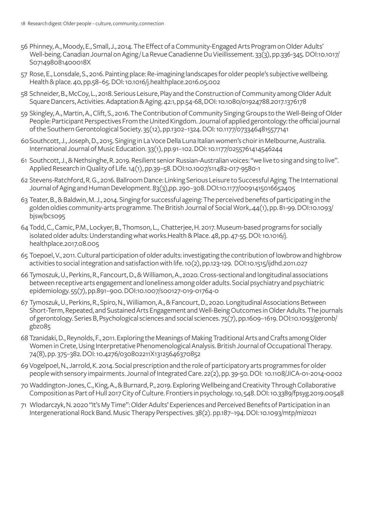- 56 Phinney, A., Moody, E., Small, J., 2014. The Effect of a Community-Engaged Arts Program on Older Adults' Well-being. Canadian Journal on Aging / La Revue Canadienne Du Vieillissement. 33(3), pp.336-345. DOI:10.1017/ S071498081400018X
- 57 Rose, E., Lonsdale, S., 2016. Painting place: Re-imagining landscapes for older people's subjective wellbeing. Health & place. 40, pp.58–65. DOI: 10.1016/j.healthplace.2016.05.002
- 58 Schneider, B., McCoy, L., 2018. Serious Leisure, Play and the Construction of Community among Older Adult Square Dancers, Activities. Adaptation & Aging. 42:1, pp.54-68, DOI: 10.1080/01924788.2017.1376178
- 59 Skingley, A., Martin, A., Clift, S., 2016. The Contribution of Community Singing Groups to the Well-Being of Older People: Participant Perspectives From the United Kingdom. Journal of applied gerontology: the official journal of the Southern Gerontological Society. 35(12), pp.1302–1324. DOI: 10.1177/0733464815577141
- 60 Southcott, J., Joseph, D., 2015. Singing in La Voce Della Luna Italian women's choir in Melbourne, Australia. International Journal of Music Education. 33(1), pp.91–102. DOI: 10.1177/0255761414546244
- 61 Southcott, J., & Nethsinghe, R. 2019. Resilient senior Russian-Australian voices: "we live to sing and sing to live". Applied Research in Quality of Life. 14(1), pp.39–58. DOI:10.1007/s11482-017-9580-1
- 62 Stevens-Ratchford, R. G., 2016. Ballroom Dance: Linking Serious Leisure to Successful Aging. The International Journal of Aging and Human Development. 83(3),pp. 290–308. DOI:10.1177/0091415016652405
- 63 Teater, B., & Baldwin, M. J., 2014. Singing for successful ageing: The perceived benefits of participating in the golden oldies community-arts programme. The British Journal of Social Work,.44(1), pp. 81-99. DOI:10.1093/ bjsw/bcs095
- 64 Todd, C., Camic, P.M., Lockyer, B., Thomson, L., Chatterjee, H. 2017. Museum-based programs for socially isolated older adults: Understanding what works.Health & Place. 48, pp. 47-55. DOI: 10.1016/j. healthplace.2017.08.005
- 65 Toepoel, V., 2011. Cultural participation of older adults: investigating the contribution of lowbrow and highbrow activities to social integration and satisfaction with life. 10(2), pp.123-129. DOI:10.1515/ijdhd.2011.027
- 66 Tymoszuk, U., Perkins, R., Fancourt, D., & Williamon, A., 2020. Cross-sectional and longitudinal associations between receptive arts engagement and loneliness among older adults. Social psychiatry and psychiatric epidemiology. 55(7), pp.891–900. DOI:10.1007/s00127-019-01764-0
- 67 Tymoszuk, U., Perkins, R., Spiro, N., Williamon, A., & Fancourt, D., 2020. Longitudinal Associations Between Short-Term, Repeated, and Sustained Arts Engagement and Well-Being Outcomes in Older Adults. The journals of gerontology. Series B, Psychological sciences and social sciences. 75(7), pp.1609–1619. DOI:10.1093/geronb/ gbz085
- 68 Tzanidaki, D., Reynolds, F., 2011. Exploring the Meanings of Making Traditional Arts and Crafts among Older Women in Crete, Using Interpretative Phenomenological Analysis. British Journal of Occupational Therapy. 74(8), pp. 375–382. DOI: 10.4276/030802211X13125646370852
- 69 Vogelpoel, N., Jarrold, K. 2014. Social prescription and the role of participatory arts programmes for older people with sensory impairments. Journal of Integrated Care. 22(2), pp. 39-50. DOI: 10.1108/JICA-01-2014-0002
- 70 Waddington-Jones, C., King, A., & Burnard, P., 2019. Exploring Wellbeing and Creativity Through Collaborative Composition as Part of Hull 2017 City of Culture. Frontiers in psychology. 10, 548. DOI: 10.3389/fpsyg.2019.00548
- 71 Wlodarczyk, N. 2020 "It's My Time": Older Adults' Experiences and Perceived Benefits of Participation in an Intergenerational Rock Band. Music Therapy Perspectives. 38(2). pp.187–194. DOI: 10.1093/mtp/miz021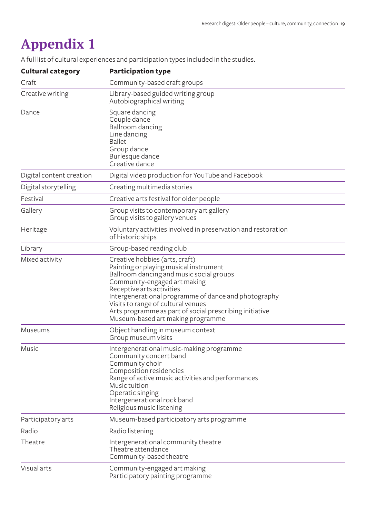## **Appendix 1**

A full list of cultural experiences and participation types included in the studies.

| <b>Cultural category</b> | <b>Participation type</b>                                                                                                                                                                                                                                                                                                                                                       |
|--------------------------|---------------------------------------------------------------------------------------------------------------------------------------------------------------------------------------------------------------------------------------------------------------------------------------------------------------------------------------------------------------------------------|
| Craft                    | Community-based craft groups                                                                                                                                                                                                                                                                                                                                                    |
| Creative writing         | Library-based guided writing group<br>Autobiographical writing                                                                                                                                                                                                                                                                                                                  |
| Dance                    | Square dancing<br>Couple dance<br>Ballroom dancing<br>Line dancing<br><b>Ballet</b><br>Group dance<br>Burlesque dance<br>Creative dance                                                                                                                                                                                                                                         |
| Digital content creation | Digital video production for YouTube and Facebook                                                                                                                                                                                                                                                                                                                               |
| Digital storytelling     | Creating multimedia stories                                                                                                                                                                                                                                                                                                                                                     |
| Festival                 | Creative arts festival for older people                                                                                                                                                                                                                                                                                                                                         |
| Gallery                  | Group visits to contemporary art gallery<br>Group visits to gallery venues                                                                                                                                                                                                                                                                                                      |
| Heritage                 | Voluntary activities involved in preservation and restoration<br>of historic ships                                                                                                                                                                                                                                                                                              |
| Library                  | Group-based reading club                                                                                                                                                                                                                                                                                                                                                        |
| Mixed activity           | Creative hobbies (arts, craft)<br>Painting or playing musical instrument<br>Ballroom dancing and music social groups<br>Community-engaged art making<br>Receptive arts activities<br>Intergenerational programme of dance and photography<br>Visits to range of cultural venues<br>Arts programme as part of social prescribing initiative<br>Museum-based art making programme |
| Museums                  | Object handling in museum context<br>Group museum visits                                                                                                                                                                                                                                                                                                                        |
| Music                    | Intergenerational music-making programme<br>Community concert band<br>Community choir<br>Composition residencies<br>Range of active music activities and performances<br>Music tuition<br>Operatic singing<br>Intergenerational rock band<br>Religious music listening                                                                                                          |
| Participatory arts       | Museum-based participatory arts programme                                                                                                                                                                                                                                                                                                                                       |
| Radio                    | Radio listening                                                                                                                                                                                                                                                                                                                                                                 |
| Theatre                  | Intergenerational community theatre<br>Theatre attendance<br>Community-based theatre                                                                                                                                                                                                                                                                                            |
| Visual arts              | Community-engaged art making<br>Participatory painting programme                                                                                                                                                                                                                                                                                                                |